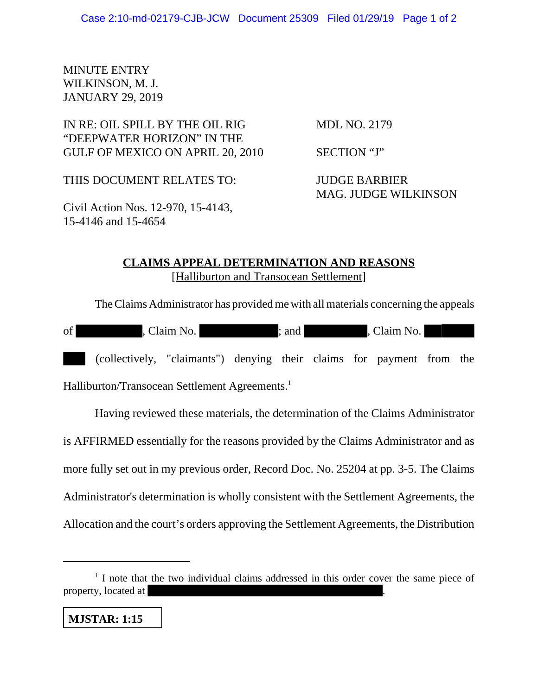## MINUTE ENTRY WILKINSON, M. J. JANUARY 29, 2019

IN RE: OIL SPILL BY THE OIL RIG MDL NO. 2179 "DEEPWATER HORIZON" IN THE GULF OF MEXICO ON APRIL 20, 2010 SECTION "J"

THIS DOCUMENT RELATES TO: JUDGE BARBIER

Civil Action Nos. 12-970, 15-4143, 15-4146 and 15-4654

MAG. JUDGE WILKINSON

## **CLAIMS APPEAL DETERMINATION AND REASONS** [Halliburton and Transocean Settlement]

The Claims Administrator has provided me with all materials concerning the appeals

| of                                                         | , Claim No.                                                           |  |  | : and I |  |  | , Claim No. |  |  |
|------------------------------------------------------------|-----------------------------------------------------------------------|--|--|---------|--|--|-------------|--|--|
|                                                            | (collectively, "claimants") denying their claims for payment from the |  |  |         |  |  |             |  |  |
| Halliburton/Transocean Settlement Agreements. <sup>1</sup> |                                                                       |  |  |         |  |  |             |  |  |

Having reviewed these materials, the determination of the Claims Administrator is AFFIRMED essentially for the reasons provided by the Claims Administrator and as more fully set out in my previous order, Record Doc. No. 25204 at pp. 3-5. The Claims Administrator's determination is wholly consistent with the Settlement Agreements, the Allocation and the court's orders approving the Settlement Agreements, the Distribution

## **MJSTAR: 1:15**

<sup>&</sup>lt;sup>1</sup> I note that the two individual claims addressed in this order cover the same piece of property, located at